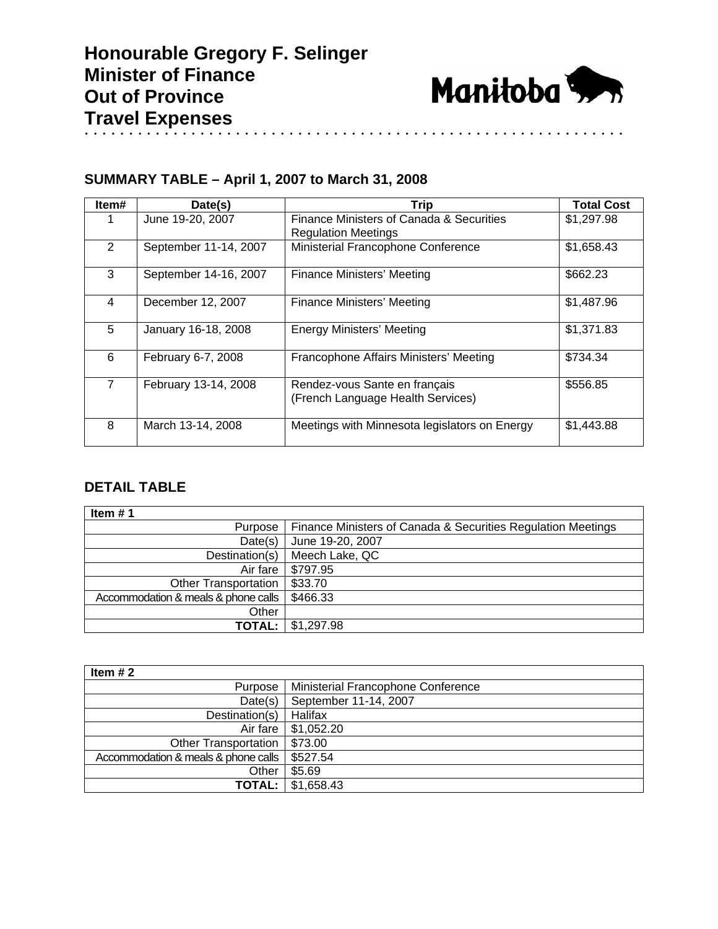

## **SUMMARY TABLE – April 1, 2007 to March 31, 2008**

| Item# | Date(s)               | <b>Trip</b>                                                            | <b>Total Cost</b> |
|-------|-----------------------|------------------------------------------------------------------------|-------------------|
|       | June 19-20, 2007      | Finance Ministers of Canada & Securities<br><b>Regulation Meetings</b> | \$1,297.98        |
| 2     | September 11-14, 2007 | Ministerial Francophone Conference                                     | \$1,658.43        |
| 3     | September 14-16, 2007 | Finance Ministers' Meeting                                             | \$662.23          |
| 4     | December 12, 2007     | Finance Ministers' Meeting                                             | \$1,487.96        |
| 5     | January 16-18, 2008   | <b>Energy Ministers' Meeting</b>                                       | \$1,371.83        |
| 6     | February 6-7, 2008    | Francophone Affairs Ministers' Meeting                                 | \$734.34          |
| 7     | February 13-14, 2008  | Rendez-vous Sante en français<br>(French Language Health Services)     | \$556.85          |
| 8     | March 13-14, 2008     | Meetings with Minnesota legislators on Energy                          | \$1,443.88        |

## **DETAIL TABLE**

| Item $# 1$                          |                                                              |
|-------------------------------------|--------------------------------------------------------------|
| Purpose                             | Finance Ministers of Canada & Securities Regulation Meetings |
| Date(s)                             | June 19-20, 2007                                             |
| Destination(s)                      | Meech Lake, QC                                               |
| Air fare                            | \$797.95                                                     |
| <b>Other Transportation</b>         | \$33.70                                                      |
| Accommodation & meals & phone calls | \$466.33                                                     |
| Other                               |                                                              |
| <b>TOTAL:</b>                       | \$1,297.98                                                   |

| Item $#2$                           |                                    |
|-------------------------------------|------------------------------------|
| Purpose                             | Ministerial Francophone Conference |
| Date(s)                             | September 11-14, 2007              |
| Destination(s)                      | Halifax                            |
| Air fare                            | \$1,052.20                         |
| <b>Other Transportation</b>         | \$73.00                            |
| Accommodation & meals & phone calls | \$527.54                           |
| Other                               | \$5.69                             |
| <b>TOTAL:</b>                       | \$1.658.43                         |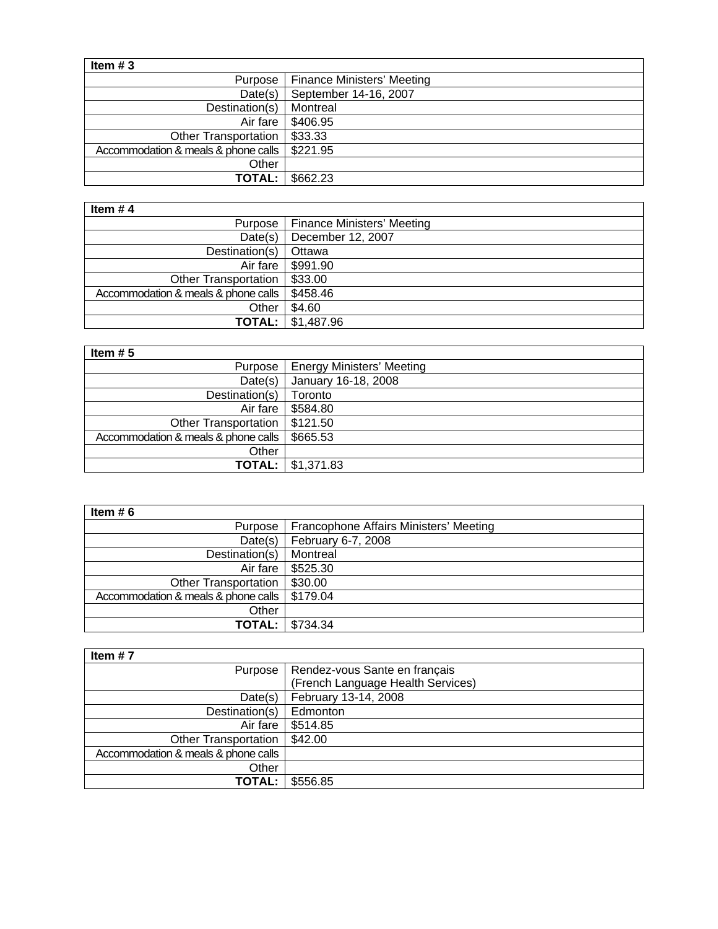| Item $#3$                           |                                   |
|-------------------------------------|-----------------------------------|
| Purpose                             | <b>Finance Ministers' Meeting</b> |
| Date(s)                             | September 14-16, 2007             |
| Destination(s)                      | Montreal                          |
| Air fare                            | \$406.95                          |
| <b>Other Transportation</b>         | \$33.33                           |
| Accommodation & meals & phone calls | \$221.95                          |
| Other                               |                                   |
| <b>TOTAL:</b>                       | \$662.23                          |

| Item $#4$                           |                                      |
|-------------------------------------|--------------------------------------|
|                                     | Purpose   Finance Ministers' Meeting |
| Date(s)                             | December 12, 2007                    |
| Destination(s)                      | Ottawa                               |
| Air fare                            | \$991.90                             |
| Other Transportation                | \$33.00                              |
| Accommodation & meals & phone calls | \$458.46                             |
| Other                               | \$4.60                               |
|                                     | <b>TOTAL:</b> $\frac{1}{31,487.96}$  |

| Item $# 5$                          |                                     |
|-------------------------------------|-------------------------------------|
|                                     | Purpose   Energy Ministers' Meeting |
| Date(s)                             | January 16-18, 2008                 |
| Destination(s)                      | Toronto                             |
| Air fare                            | \$584.80                            |
| Other Transportation                | \$121.50                            |
| Accommodation & meals & phone calls | \$665.53                            |
| Other                               |                                     |
|                                     | <b>TOTAL:</b> $\frac{1}{31,371.83}$ |

| Item $# 6$                          |                                        |
|-------------------------------------|----------------------------------------|
| Purpose                             | Francophone Affairs Ministers' Meeting |
| Date(s)                             | February 6-7, 2008                     |
| Destination(s)                      | Montreal                               |
| Air fare                            | \$525.30                               |
| <b>Other Transportation</b>         | \$30.00                                |
| Accommodation & meals & phone calls | \$179.04                               |
| Other                               |                                        |
| <b>TOTAL:</b>                       | \$734.34                               |

| Item $#7$                           |                                   |
|-------------------------------------|-----------------------------------|
| Purpose                             | Rendez-vous Sante en français     |
|                                     | (French Language Health Services) |
| Date(s)                             | February 13-14, 2008              |
| Destination(s)                      | Edmonton                          |
| Air fare                            | \$514.85                          |
| <b>Other Transportation</b>         | \$42.00                           |
| Accommodation & meals & phone calls |                                   |
| Other                               |                                   |
| <b>TOTAL:</b>                       | \$556.85                          |